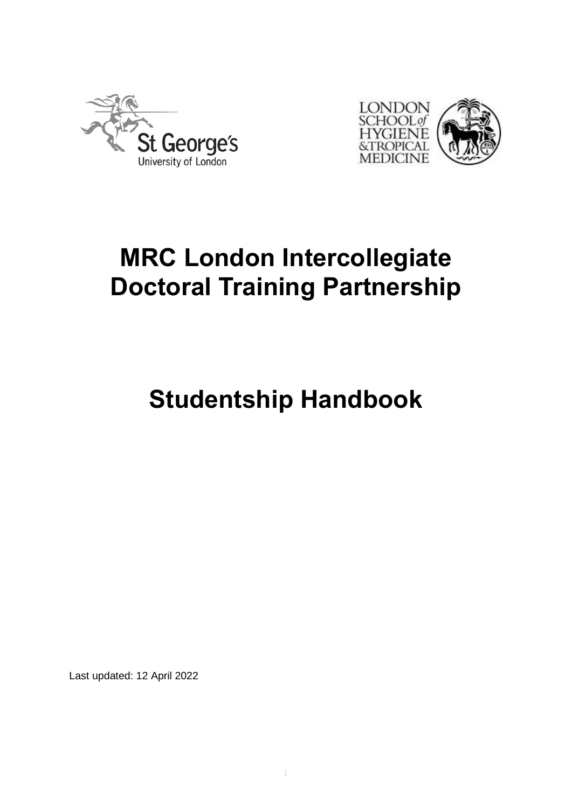



# **MRC London Intercollegiate Doctoral Training Partnership**

# **Studentship Handbook**

Last updated: 12 April 2022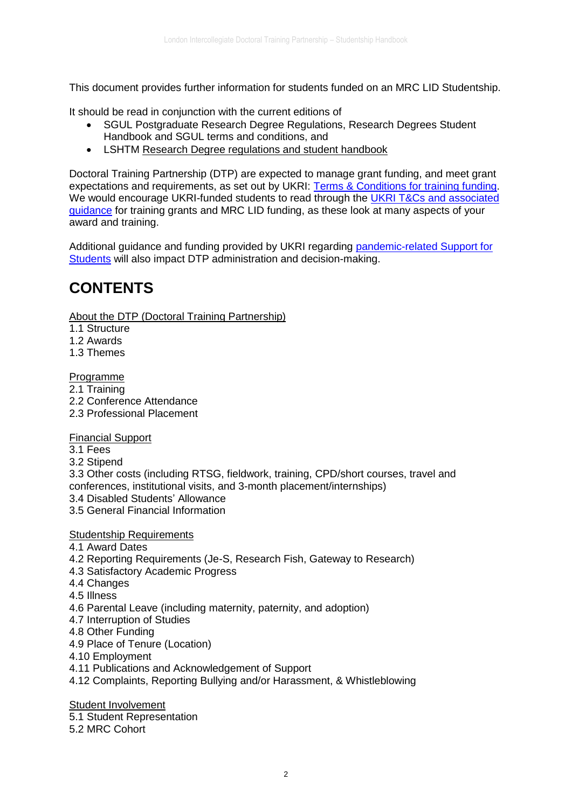This document provides further information for students funded on an MRC LID Studentship.

It should be read in conjunction with the current editions of

- SGUL Postgraduate Research Degree Regulations, Research Degrees Student Handbook and SGUL terms and conditions, and
- LSHTM [Research Degree regulations and student handbook](https://www.lshtm.ac.uk/study/new-students/starting-your-course-london/regulations-policies-and-procedures)

Doctoral Training Partnership (DTP) are expected to manage grant funding, and meet grant expectations and requirements, as set out by UKRI: [Terms & Conditions for training funding.](https://www.ukri.org/apply-for-funding/before-you-apply/your-responsibilities-if-you-get-funding/meeting-ukri-terms-and-conditions-for-funding/) We would encourage UKRI-funded students to read through the UKRI T&Cs and associated [guidance](https://www.ukri.org/manage-your-award/meeting-ukri-terms-and-conditions-for-funding/) for training grants and MRC LID funding, as these look at many aspects of your award and training.

Additional guidance and funding provided by UKRI regarding [pandemic-related Support for](https://www.ukri.org/our-work/tackling-the-impact-of-covid-19/guidance-for-applicants-and-awardholders-impacted-by-the-pandemic/)  [Students](https://www.ukri.org/our-work/tackling-the-impact-of-covid-19/guidance-for-applicants-and-awardholders-impacted-by-the-pandemic/) will also impact DTP administration and decision-making.

# **CONTENTS**

[About the DTP \(Doctoral Training Partnership\)](https://mrc-lid.lshtm.ac.uk/handbook/#aboutthedtp)

1.1 Structure

1.2 Awards

1.3 Themes

[Programme](https://mrc-lid.lshtm.ac.uk/handbook/#programme)

2.1 Training

2.2 Conference Attendance

2.3 Professional Placement

[Financial Support](https://mrc-lid.lshtm.ac.uk/handbook/#financialsupport)

3.1 Fees

3.2 Stipend

3.3 Other costs (including RTSG, fieldwork, training, CPD/short courses, travel and conferences, institutional visits, and 3-month placement/internships) 3.4 Disabled Students' Allowance

3.5 General Financial Information

[Studentship Requirements](https://mrc-lid.lshtm.ac.uk/handbook/#studentshiprequirements)

- 4.1 Award Dates
- 4.2 Reporting Requirements (Je-S, Research Fish, Gateway to Research)
- 4.3 Satisfactory Academic Progress
- 4.4 Changes

4.5 Illness

- 4.6 Parental Leave (including maternity, paternity, and adoption)
- 4.7 Interruption of Studies
- 4.8 Other Funding
- 4.9 Place of Tenure (Location)
- 4.10 Employment
- 4.11 Publications and Acknowledgement of Support
- 4.12 Complaints, Reporting Bullying and/or Harassment, & Whistleblowing

**[Student Involvement](https://mrc-lid.lshtm.ac.uk/handbook/#studentinvolvement)** 

- 5.1 Student Representation
- 5.2 MRC Cohort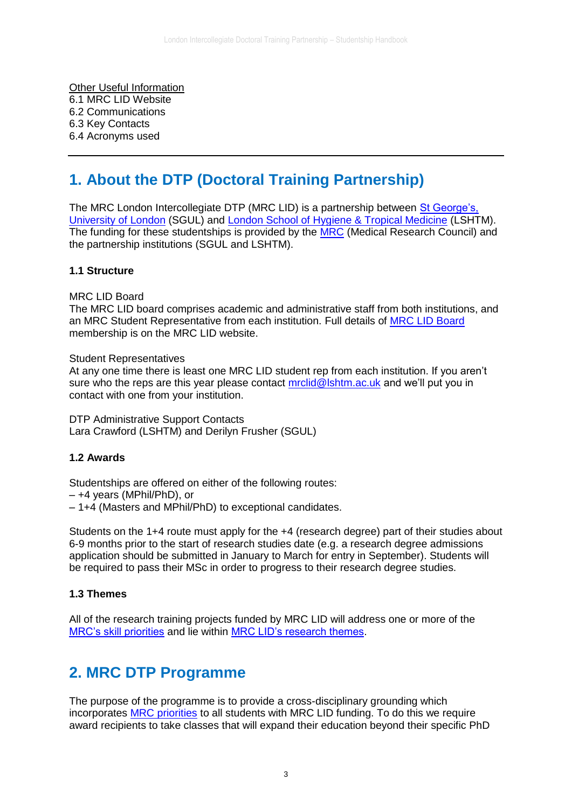[Other Useful Information](https://mrc-lid.lshtm.ac.uk/handbook/#otherusefulinformation) 6.1 MRC LID Website 6.2 Communications 6.3 Key Contacts 6.4 Acronyms used

# **1. About the DTP (Doctoral Training Partnership)**

The MRC London Intercollegiate DTP (MRC LID) is a partnership between [St George's,](http://www.sgul.ac.uk/)  [University of London](http://www.sgul.ac.uk/) (SGUL) and [London School of Hygiene & Tropical Medicine](https://www.lshtm.ac.uk/) (LSHTM). The funding for these studentships is provided by the **MRC** (Medical Research Council) and the partnership institutions (SGUL and LSHTM).

# **1.1 Structure**

MRC LID Board

The MRC LID board comprises academic and administrative staff from both institutions, and an MRC Student Representative from each institution. Full details of [MRC LID Board](https://mrc-lid.lshtm.ac.uk/meet/) membership is on the MRC LID website.

Student Representatives

At any one time there is least one MRC LID student rep from each institution. If you aren't sure who the reps are this year please contact [mrclid@lshtm.ac.uk](mailto:mrclid@lshtm.ac.uk) and we'll put you in contact with one from your institution.

DTP Administrative Support Contacts Lara Crawford (LSHTM) and Derilyn Frusher (SGUL)

#### **1.2 Awards**

Studentships are offered on either of the following routes:

- +4 years (MPhil/PhD), or
- 1+4 (Masters and MPhil/PhD) to exceptional candidates.

Students on the 1+4 route must apply for the +4 (research degree) part of their studies about 6-9 months prior to the start of research studies date (e.g. a research degree admissions application should be submitted in January to March for entry in September). Students will be required to pass their MSc in order to progress to their research degree studies.

#### **1.3 Themes**

All of the research training projects funded by MRC LID will address one or more of the [MRC's skill priorities](https://www.mrc.ac.uk/documents/pdf/mrc-strategic-skill-priorities/) and lie within [MRC LID's research themes.](https://mrc-lid.lshtm.ac.uk/themes-and-skills/)

# **2. MRC DTP Programme**

The purpose of the programme is to provide a cross-disciplinary grounding which incorporates [MRC priorities](http://www.rcuk.ac.uk/documents/skills/statementofexpectation-pdf/) to all students with MRC LID funding. To do this we require award recipients to take classes that will expand their education beyond their specific PhD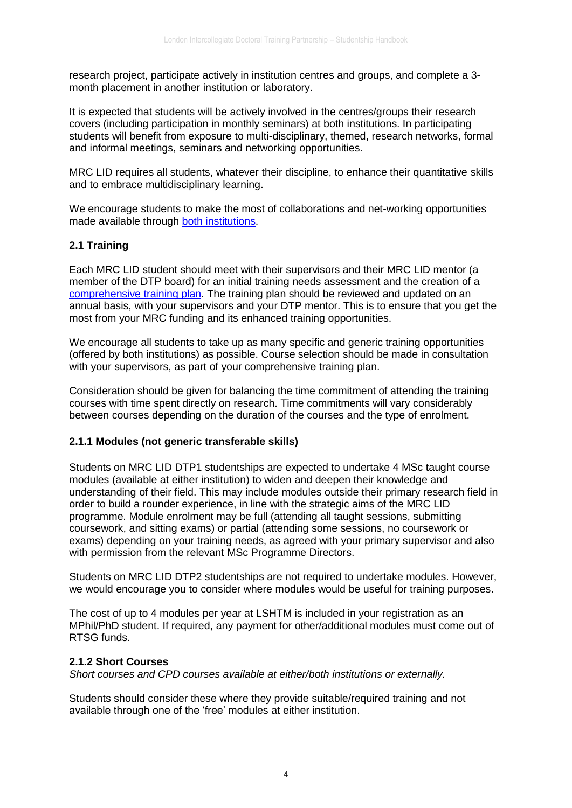research project, participate actively in institution centres and groups, and complete a 3 month placement in another institution or laboratory.

It is expected that students will be actively involved in the centres/groups their research covers (including participation in monthly seminars) at both institutions. In participating students will benefit from exposure to multi-disciplinary, themed, research networks, formal and informal meetings, seminars and networking opportunities.

MRC LID requires all students, whatever their discipline, to enhance their quantitative skills and to embrace multidisciplinary learning.

We encourage students to make the most of collaborations and net-working opportunities made available through [both institutions.](http://mrc-lid.lshtm.ac.uk/research-environment/)

## **2.1 Training**

Each MRC LID student should meet with their supervisors and their MRC LID mentor (a member of the DTP board) for an initial training needs assessment and the creation of a [comprehensive training plan.](http://mrc-lid.lshtm.ac.uk/current-students-forms/) The training plan should be reviewed and updated on an annual basis, with your supervisors and your DTP mentor. This is to ensure that you get the most from your MRC funding and its enhanced training opportunities.

We encourage all students to take up as many specific and generic training opportunities (offered by both institutions) as possible. Course selection should be made in consultation with your supervisors, as part of your comprehensive training plan.

Consideration should be given for balancing the time commitment of attending the training courses with time spent directly on research. Time commitments will vary considerably between courses depending on the duration of the courses and the type of enrolment.

#### **2.1.1 Modules (not generic transferable skills)**

Students on MRC LID DTP1 studentships are expected to undertake 4 MSc taught course modules (available at either institution) to widen and deepen their knowledge and understanding of their field. This may include modules outside their primary research field in order to build a rounder experience, in line with the strategic aims of the MRC LID programme. Module enrolment may be full (attending all taught sessions, submitting coursework, and sitting exams) or partial (attending some sessions, no coursework or exams) depending on your training needs, as agreed with your primary supervisor and also with permission from the relevant MSc Programme Directors.

Students on MRC LID DTP2 studentships are not required to undertake modules. However, we would encourage you to consider where modules would be useful for training purposes.

The cost of up to 4 modules per year at LSHTM is included in your registration as an MPhil/PhD student. If required, any payment for other/additional modules must come out of RTSG funds.

#### **2.1.2 Short Courses**

*Short courses and CPD courses available at either/both institutions or externally.*

Students should consider these where they provide suitable/required training and not available through one of the 'free' modules at either institution.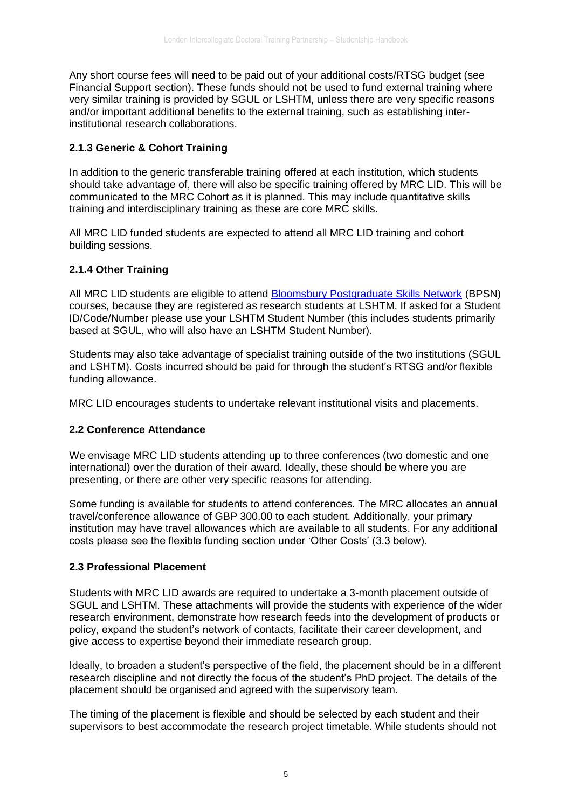Any short course fees will need to be paid out of your additional costs/RTSG budget (see Financial Support section). These funds should not be used to fund external training where very similar training is provided by SGUL or LSHTM, unless there are very specific reasons and/or important additional benefits to the external training, such as establishing interinstitutional research collaborations.

# **2.1.3 Generic & Cohort Training**

In addition to the generic transferable training offered at each institution, which students should take advantage of, there will also be specific training offered by MRC LID. This will be communicated to the MRC Cohort as it is planned. This may include quantitative skills training and interdisciplinary training as these are core MRC skills.

All MRC LID funded students are expected to attend all MRC LID training and cohort building sessions.

# **2.1.4 Other Training**

All MRC LID students are eligible to attend [Bloomsbury Postgraduate Skills Network](http://courses.grad.ucl.ac.uk/bloomsbury/) (BPSN) courses, because they are registered as research students at LSHTM. If asked for a Student ID/Code/Number please use your LSHTM Student Number (this includes students primarily based at SGUL, who will also have an LSHTM Student Number).

Students may also take advantage of specialist training outside of the two institutions (SGUL and LSHTM). Costs incurred should be paid for through the student's RTSG and/or flexible funding allowance.

MRC LID encourages students to undertake relevant institutional visits and placements.

# **2.2 Conference Attendance**

We envisage MRC LID students attending up to three conferences (two domestic and one international) over the duration of their award. Ideally, these should be where you are presenting, or there are other very specific reasons for attending.

Some funding is available for students to attend conferences. The MRC allocates an annual travel/conference allowance of GBP 300.00 to each student. Additionally, your primary institution may have travel allowances which are available to all students. For any additional costs please see the flexible funding section under 'Other Costs' (3.3 below).

#### **2.3 Professional Placement**

Students with MRC LID awards are required to undertake a 3-month placement outside of SGUL and LSHTM. These attachments will provide the students with experience of the wider research environment, demonstrate how research feeds into the development of products or policy, expand the student's network of contacts, facilitate their career development, and give access to expertise beyond their immediate research group.

Ideally, to broaden a student's perspective of the field, the placement should be in a different research discipline and not directly the focus of the student's PhD project. The details of the placement should be organised and agreed with the supervisory team.

The timing of the placement is flexible and should be selected by each student and their supervisors to best accommodate the research project timetable. While students should not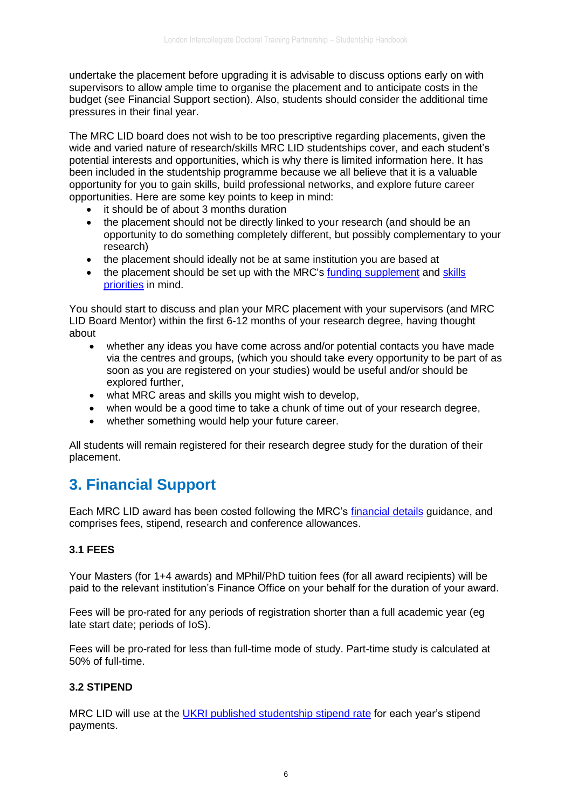undertake the placement before upgrading it is advisable to discuss options early on with supervisors to allow ample time to organise the placement and to anticipate costs in the budget (see Financial Support section). Also, students should consider the additional time pressures in their final year.

The MRC LID board does not wish to be too prescriptive regarding placements, given the wide and varied nature of research/skills MRC LID studentships cover, and each student's potential interests and opportunities, which is why there is limited information here. It has been included in the studentship programme because we all believe that it is a valuable opportunity for you to gain skills, build professional networks, and explore future career opportunities. Here are some key points to keep in mind:

- it should be of about 3 months duration
- the placement should not be directly linked to your research (and should be an opportunity to do something completely different, but possibly complementary to your research)
- the placement should ideally not be at same institution you are based at
- the placement should be set up with the MRC's [funding supplement](https://www.mrc.ac.uk/skills-careers/studentships/studentship-guidance/additional-support/) and [skills](https://www.mrc.ac.uk/documents/pdf/mrc-strategic-skill-priorities/)  [priorities](https://www.mrc.ac.uk/documents/pdf/mrc-strategic-skill-priorities/) in mind.

You should start to discuss and plan your MRC placement with your supervisors (and MRC LID Board Mentor) within the first 6-12 months of your research degree, having thought about

- whether any ideas you have come across and/or potential contacts you have made via the centres and groups, (which you should take every opportunity to be part of as soon as you are registered on your studies) would be useful and/or should be explored further,
- what MRC areas and skills you might wish to develop,
- when would be a good time to take a chunk of time out of your research degree.
- whether something would help your future career.

All students will remain registered for their research degree study for the duration of their placement.

# **3. Financial Support**

Each MRC LID award has been costed following the MRC's [financial details](http://www.mrc.ac.uk/skills-careers/studentships/studentship-guidance/minimum-stipend-and-allowances/) guidance, and comprises fees, stipend, research and conference allowances.

# **3.1 FEES**

Your Masters (for 1+4 awards) and MPhil/PhD tuition fees (for all award recipients) will be paid to the relevant institution's Finance Office on your behalf for the duration of your award.

Fees will be pro-rated for any periods of registration shorter than a full academic year (eg late start date; periods of IoS).

Fees will be pro-rated for less than full-time mode of study. Part-time study is calculated at 50% of full-time.

# **3.2 STIPEND**

MRC LID will use at the UKRI [published studentship stipend rate](https://www.ukri.org/what-we-offer/developing-people-and-skills/find-studentships-and-doctoral-training/get-a-studentship-to-fund-your-doctorate/) for each year's stipend payments.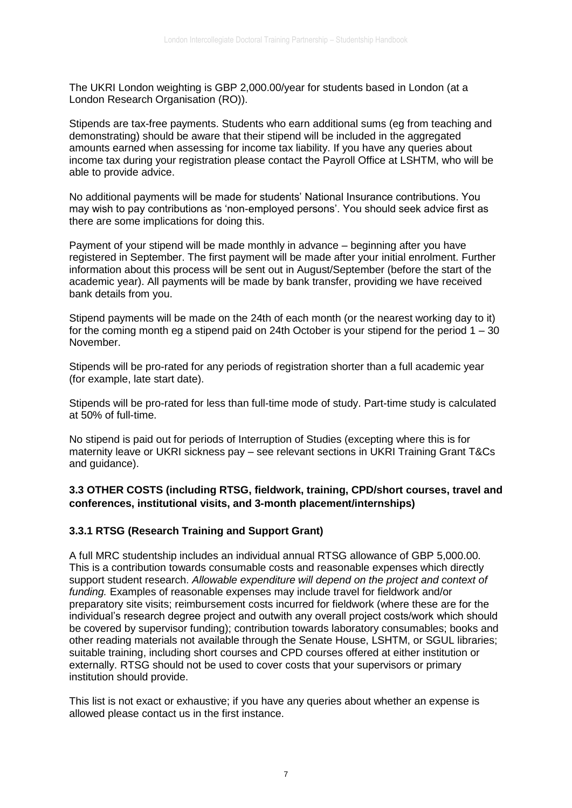The UKRI London weighting is GBP 2,000.00/year for students based in London (at a London Research Organisation (RO)).

Stipends are tax-free payments. Students who earn additional sums (eg from teaching and demonstrating) should be aware that their stipend will be included in the aggregated amounts earned when assessing for income tax liability. If you have any queries about income tax during your registration please contact the Payroll Office at LSHTM, who will be able to provide advice.

No additional payments will be made for students' National Insurance contributions. You may wish to pay contributions as 'non-employed persons'. You should seek advice first as there are some implications for doing this.

Payment of your stipend will be made monthly in advance – beginning after you have registered in September. The first payment will be made after your initial enrolment. Further information about this process will be sent out in August/September (before the start of the academic year). All payments will be made by bank transfer, providing we have received bank details from you.

Stipend payments will be made on the 24th of each month (or the nearest working day to it) for the coming month eg a stipend paid on 24th October is your stipend for the period  $1 - 30$ November.

Stipends will be pro-rated for any periods of registration shorter than a full academic year (for example, late start date).

Stipends will be pro-rated for less than full-time mode of study. Part-time study is calculated at 50% of full-time.

No stipend is paid out for periods of Interruption of Studies (excepting where this is for maternity leave or UKRI sickness pay – see relevant sections in UKRI Training Grant T&Cs and guidance).

## **3.3 OTHER COSTS (including RTSG, fieldwork, training, CPD/short courses, travel and conferences, institutional visits, and 3-month placement/internships)**

# **3.3.1 RTSG (Research Training and Support Grant)**

A full MRC studentship includes an individual annual RTSG allowance of GBP 5,000.00. This is a contribution towards consumable costs and reasonable expenses which directly support student research. *Allowable expenditure will depend on the project and context of funding.* Examples of reasonable expenses may include travel for fieldwork and/or preparatory site visits; reimbursement costs incurred for fieldwork (where these are for the individual's research degree project and outwith any overall project costs/work which should be covered by supervisor funding); contribution towards laboratory consumables; books and other reading materials not available through the Senate House, LSHTM, or SGUL libraries; suitable training, including short courses and CPD courses offered at either institution or externally. RTSG should not be used to cover costs that your supervisors or primary institution should provide.

This list is not exact or exhaustive; if you have any queries about whether an expense is allowed please contact us in the first instance.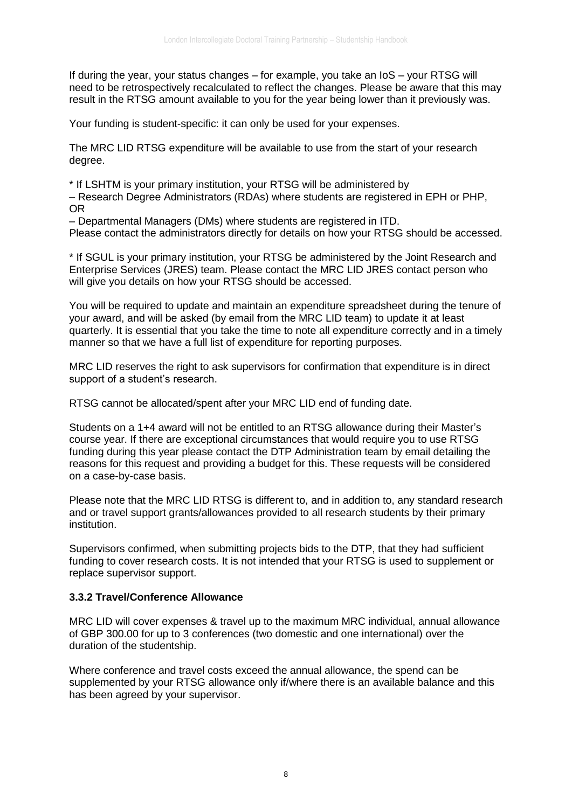If during the year, your status changes – for example, you take an IoS – your RTSG will need to be retrospectively recalculated to reflect the changes. Please be aware that this may result in the RTSG amount available to you for the year being lower than it previously was.

Your funding is student-specific: it can only be used for your expenses.

The MRC LID RTSG expenditure will be available to use from the start of your research degree.

\* If LSHTM is your primary institution, your RTSG will be administered by

– Research Degree Administrators (RDAs) where students are registered in EPH or PHP, OR

– Departmental Managers (DMs) where students are registered in ITD.

Please contact the administrators directly for details on how your RTSG should be accessed.

\* If SGUL is your primary institution, your RTSG be administered by the Joint Research and Enterprise Services (JRES) team. Please contact the MRC LID JRES contact person who will give you details on how your RTSG should be accessed.

You will be required to update and maintain an expenditure spreadsheet during the tenure of your award, and will be asked (by email from the MRC LID team) to update it at least quarterly. It is essential that you take the time to note all expenditure correctly and in a timely manner so that we have a full list of expenditure for reporting purposes.

MRC LID reserves the right to ask supervisors for confirmation that expenditure is in direct support of a student's research.

RTSG cannot be allocated/spent after your MRC LID end of funding date.

Students on a 1+4 award will not be entitled to an RTSG allowance during their Master's course year. If there are exceptional circumstances that would require you to use RTSG funding during this year please contact the DTP Administration team by email detailing the reasons for this request and providing a budget for this. These requests will be considered on a case-by-case basis.

Please note that the MRC LID RTSG is different to, and in addition to, any standard research and or travel support grants/allowances provided to all research students by their primary institution.

Supervisors confirmed, when submitting projects bids to the DTP, that they had sufficient funding to cover research costs. It is not intended that your RTSG is used to supplement or replace supervisor support.

# **3.3.2 Travel/Conference Allowance**

MRC LID will cover expenses & travel up to the maximum MRC individual, annual allowance of GBP 300.00 for up to 3 conferences (two domestic and one international) over the duration of the studentship.

Where conference and travel costs exceed the annual allowance, the spend can be supplemented by your RTSG allowance only if/where there is an available balance and this has been agreed by your supervisor.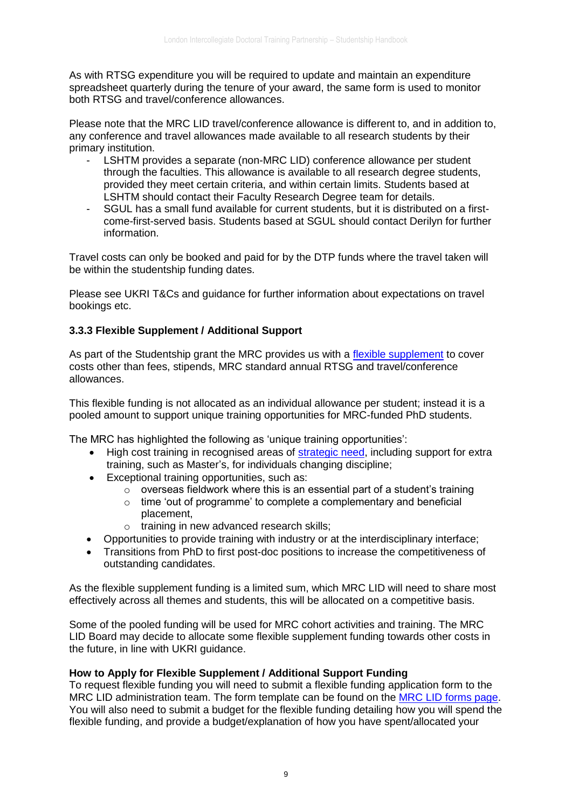As with RTSG expenditure you will be required to update and maintain an expenditure spreadsheet quarterly during the tenure of your award, the same form is used to monitor both RTSG and travel/conference allowances.

Please note that the MRC LID travel/conference allowance is different to, and in addition to, any conference and travel allowances made available to all research students by their primary institution.

- LSHTM provides a separate (non-MRC LID) conference allowance per student through the faculties. This allowance is available to all research degree students, provided they meet certain criteria, and within certain limits. Students based at LSHTM should contact their Faculty Research Degree team for details.
- SGUL has a small fund available for current students, but it is distributed on a firstcome-first-served basis. Students based at SGUL should contact Derilyn for further information.

Travel costs can only be booked and paid for by the DTP funds where the travel taken will be within the studentship funding dates.

Please see UKRI T&Cs and guidance for further information about expectations on travel bookings etc.

# **3.3.3 Flexible Supplement / Additional Support**

As part of the Studentship grant the MRC provides us with a [flexible supplement](http://www.mrc.ac.uk/skills-careers/studentships/studentship-guidance/additional-support/) to cover costs other than fees, stipends, MRC standard annual RTSG and travel/conference allowances.

This flexible funding is not allocated as an individual allowance per student; instead it is a pooled amount to support unique training opportunities for MRC-funded PhD students.

The MRC has highlighted the following as 'unique training opportunities':

- High cost training in recognised areas of [strategic need,](http://www.mrc.ac.uk/documents/pdf/mrc-strategic-skill-priorities/) including support for extra training, such as Master's, for individuals changing discipline;
- Exceptional training opportunities, such as:
	- $\circ$  overseas fieldwork where this is an essential part of a student's training
	- o time 'out of programme' to complete a complementary and beneficial placement,
	- o training in new advanced research skills;
- Opportunities to provide training with industry or at the interdisciplinary interface;
- Transitions from PhD to first post-doc positions to increase the competitiveness of outstanding candidates.

As the flexible supplement funding is a limited sum, which MRC LID will need to share most effectively across all themes and students, this will be allocated on a competitive basis.

Some of the pooled funding will be used for MRC cohort activities and training. The MRC LID Board may decide to allocate some flexible supplement funding towards other costs in the future, in line with UKRI guidance.

#### **How to Apply for Flexible Supplement / Additional Support Funding**

To request flexible funding you will need to submit a flexible funding application form to the MRC LID administration team. The form template can be found on the [MRC LID forms page.](http://mrc-lid.lshtm.ac.uk/current-students-forms/) You will also need to submit a budget for the flexible funding detailing how you will spend the flexible funding, and provide a budget/explanation of how you have spent/allocated your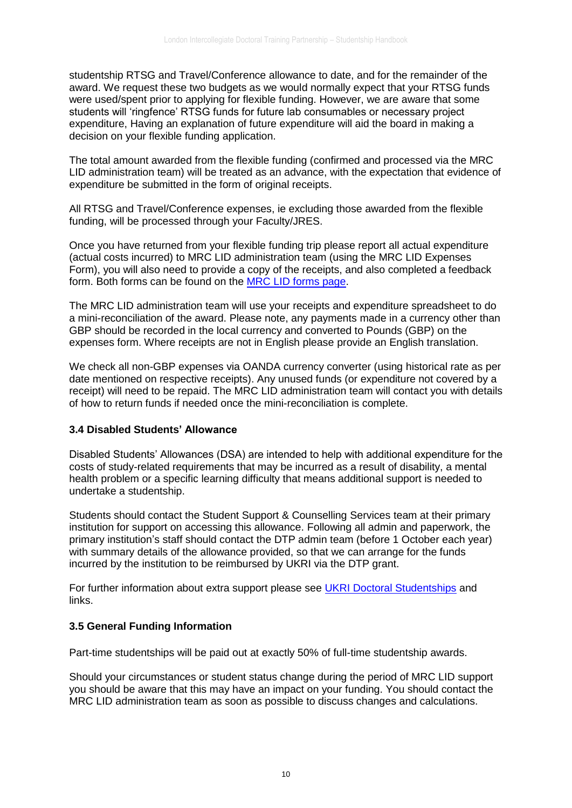studentship RTSG and Travel/Conference allowance to date, and for the remainder of the award. We request these two budgets as we would normally expect that your RTSG funds were used/spent prior to applying for flexible funding. However, we are aware that some students will 'ringfence' RTSG funds for future lab consumables or necessary project expenditure, Having an explanation of future expenditure will aid the board in making a decision on your flexible funding application.

The total amount awarded from the flexible funding (confirmed and processed via the MRC LID administration team) will be treated as an advance, with the expectation that evidence of expenditure be submitted in the form of original receipts.

All RTSG and Travel/Conference expenses, ie excluding those awarded from the flexible funding, will be processed through your Faculty/JRES.

Once you have returned from your flexible funding trip please report all actual expenditure (actual costs incurred) to MRC LID administration team (using the MRC LID Expenses Form), you will also need to provide a copy of the receipts, and also completed a feedback form. Both forms can be found on the [MRC LID forms page.](http://mrc-lid.lshtm.ac.uk/current-students-forms/)

The MRC LID administration team will use your receipts and expenditure spreadsheet to do a mini-reconciliation of the award. Please note, any payments made in a currency other than GBP should be recorded in the local currency and converted to Pounds (GBP) on the expenses form. Where receipts are not in English please provide an English translation.

We check all non-GBP expenses via OANDA currency converter (using historical rate as per date mentioned on respective receipts). Any unused funds (or expenditure not covered by a receipt) will need to be repaid. The MRC LID administration team will contact you with details of how to return funds if needed once the mini-reconciliation is complete.

#### **3.4 Disabled Students' Allowance**

Disabled Students' Allowances (DSA) are intended to help with additional expenditure for the costs of study-related requirements that may be incurred as a result of disability, a mental health problem or a specific learning difficulty that means additional support is needed to undertake a studentship.

Students should contact the Student Support & Counselling Services team at their primary institution for support on accessing this allowance. Following all admin and paperwork, the primary institution's staff should contact the DTP admin team (before 1 October each year) with summary details of the allowance provided, so that we can arrange for the funds incurred by the institution to be reimbursed by UKRI via the DTP grant.

For further information about extra support please see UKRI [Doctoral Studentships](https://www.ukri.org/what-we-offer/developing-people-and-skills/find-studentships-and-doctoral-training/get-a-studentship-to-fund-your-doctorate/#contents-list) and links.

# **3.5 General Funding Information**

Part-time studentships will be paid out at exactly 50% of full-time studentship awards.

Should your circumstances or student status change during the period of MRC LID support you should be aware that this may have an impact on your funding. You should contact the MRC LID administration team as soon as possible to discuss changes and calculations.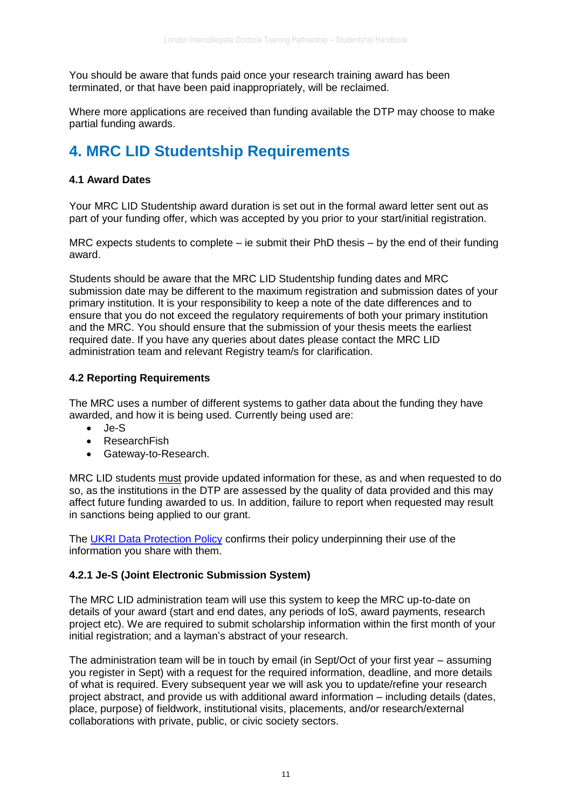You should be aware that funds paid once your research training award has been terminated, or that have been paid inappropriately, will be reclaimed.

Where more applications are received than funding available the DTP may choose to make partial funding awards.

# **4. MRC LID Studentship Requirements**

# **4.1 Award Dates**

Your MRC LID Studentship award duration is set out in the formal award letter sent out as part of your funding offer, which was accepted by you prior to your start/initial registration.

MRC expects students to complete – ie submit their PhD thesis – by the end of their funding award.

Students should be aware that the MRC LID Studentship funding dates and MRC submission date may be different to the maximum registration and submission dates of your primary institution. It is your responsibility to keep a note of the date differences and to ensure that you do not exceed the regulatory requirements of both your primary institution and the MRC. You should ensure that the submission of your thesis meets the earliest required date. If you have any queries about dates please contact the MRC LID administration team and relevant Registry team/s for clarification.

# **4.2 Reporting Requirements**

The MRC uses a number of different systems to gather data about the funding they have awarded, and how it is being used. Currently being used are:

- Je-S
- ResearchFish
- Gateway-to-Research.

MRC LID students must provide updated information for these, as and when requested to do so, as the institutions in the DTP are assessed by the quality of data provided and this may affect future funding awarded to us. In addition, failure to report when requested may result in sanctions being applied to our grant.

The [UKRI Data Protection Policy](https://www.ukri.org/about-us/privacy-notice/) confirms their policy underpinning their use of the information you share with them.

# **4.2.1 Je-S (Joint Electronic Submission System)**

The MRC LID administration team will use this system to keep the MRC up-to-date on details of your award (start and end dates, any periods of IoS, award payments, research project etc). We are required to submit scholarship information within the first month of your initial registration; and a layman's abstract of your research.

The administration team will be in touch by email (in Sept/Oct of your first year – assuming you register in Sept) with a request for the required information, deadline, and more details of what is required. Every subsequent year we will ask you to update/refine your research project abstract, and provide us with additional award information – including details (dates, place, purpose) of fieldwork, institutional visits, placements, and/or research/external collaborations with private, public, or civic society sectors.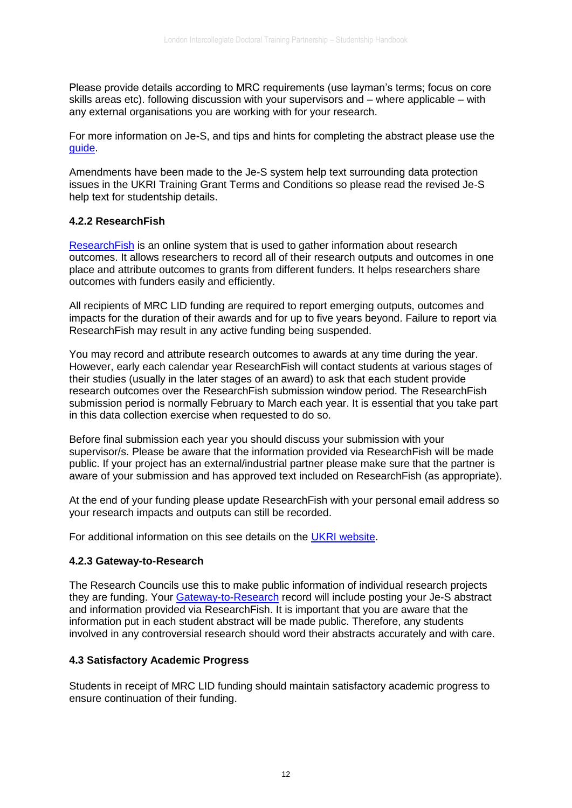Please provide details according to MRC requirements (use layman's terms; focus on core skills areas etc). following discussion with your supervisors and – where applicable – with any external organisations you are working with for your research.

For more information on Je-S, and tips and hints for completing the abstract please use the [guide.](https://lshtm.sharepoint.com/students/PublishingImages/Pages/student-funding/Je-S%20information%20sheet%20for%20MRC%20LID.pdf)

Amendments have been made to the Je-S system help text surrounding data protection issues in the UKRI Training Grant Terms and Conditions so please read the revised Je-S help text for studentship details.

#### **4.2.2 ResearchFish**

[ResearchFish](https://www.ukri.org/apply-for-funding/manage-your-funding-award/report-your-research-outcomes/) is an online system that is used to gather information about research outcomes. It allows researchers to record all of their research outputs and outcomes in one place and attribute outcomes to grants from different funders. It helps researchers share outcomes with funders easily and efficiently.

All recipients of MRC LID funding are required to report emerging outputs, outcomes and impacts for the duration of their awards and for up to five years beyond. Failure to report via ResearchFish may result in any active funding being suspended.

You may record and attribute research outcomes to awards at any time during the year. However, early each calendar year ResearchFish will contact students at various stages of their studies (usually in the later stages of an award) to ask that each student provide research outcomes over the ResearchFish submission window period. The ResearchFish submission period is normally February to March each year. It is essential that you take part in this data collection exercise when requested to do so.

Before final submission each year you should discuss your submission with your supervisor/s. Please be aware that the information provided via ResearchFish will be made public. If your project has an external/industrial partner please make sure that the partner is aware of your submission and has approved text included on ResearchFish (as appropriate).

At the end of your funding please update ResearchFish with your personal email address so your research impacts and outputs can still be recorded.

For additional information on this see details on the [UKRI website.](https://www.ukri.org/apply-for-funding/manage-your-funding-award/report-your-research-outcomes/)

#### **4.2.3 Gateway-to-Research**

The Research Councils use this to make public information of individual research projects they are funding. Your [Gateway-to-Research](https://gtr.ukri.org/resources/about.html) record will include posting your Je-S abstract and information provided via ResearchFish. It is important that you are aware that the information put in each student abstract will be made public. Therefore, any students involved in any controversial research should word their abstracts accurately and with care.

#### **4.3 Satisfactory Academic Progress**

Students in receipt of MRC LID funding should maintain satisfactory academic progress to ensure continuation of their funding.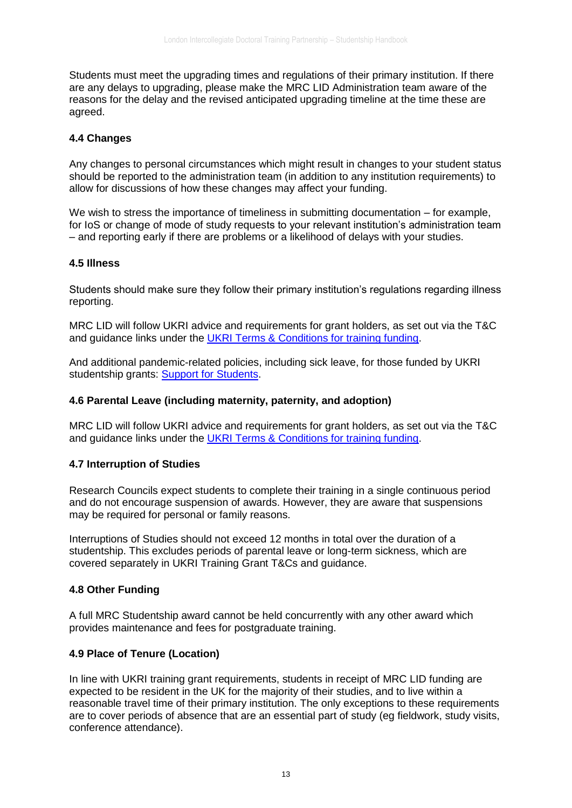Students must meet the upgrading times and regulations of their primary institution. If there are any delays to upgrading, please make the MRC LID Administration team aware of the reasons for the delay and the revised anticipated upgrading timeline at the time these are agreed.

## **4.4 Changes**

Any changes to personal circumstances which might result in changes to your student status should be reported to the administration team (in addition to any institution requirements) to allow for discussions of how these changes may affect your funding.

We wish to stress the importance of timeliness in submitting documentation – for example, for IoS or change of mode of study requests to your relevant institution's administration team – and reporting early if there are problems or a likelihood of delays with your studies.

#### **4.5 Illness**

Students should make sure they follow their primary institution's regulations regarding illness reporting.

MRC LID will follow UKRI advice and requirements for grant holders, as set out via the T&C and guidance links under the [UKRI Terms & Conditions for training funding.](https://www.ukri.org/apply-for-funding/before-you-apply/your-responsibilities-if-you-get-funding/meeting-ukri-terms-and-conditions-for-funding/)

And additional pandemic-related policies, including sick leave, for those funded by UKRI studentship grants: [Support for Students.](https://www.ukri.org/our-work/tackling-the-impact-of-covid-19/guidance-for-applicants-and-awardholders-impacted-by-the-pandemic/)

#### **4.6 Parental Leave (including maternity, paternity, and adoption)**

MRC LID will follow UKRI advice and requirements for grant holders, as set out via the T&C and guidance links under the [UKRI Terms & Conditions for training funding.](https://www.ukri.org/apply-for-funding/before-you-apply/your-responsibilities-if-you-get-funding/meeting-ukri-terms-and-conditions-for-funding/)

#### **4.7 Interruption of Studies**

Research Councils expect students to complete their training in a single continuous period and do not encourage suspension of awards. However, they are aware that suspensions may be required for personal or family reasons.

Interruptions of Studies should not exceed 12 months in total over the duration of a studentship. This excludes periods of parental leave or long-term sickness, which are covered separately in UKRI Training Grant T&Cs and guidance.

#### **4.8 Other Funding**

A full MRC Studentship award cannot be held concurrently with any other award which provides maintenance and fees for postgraduate training.

#### **4.9 Place of Tenure (Location)**

In line with UKRI training grant requirements, students in receipt of MRC LID funding are expected to be resident in the UK for the majority of their studies, and to live within a reasonable travel time of their primary institution. The only exceptions to these requirements are to cover periods of absence that are an essential part of study (eg fieldwork, study visits, conference attendance).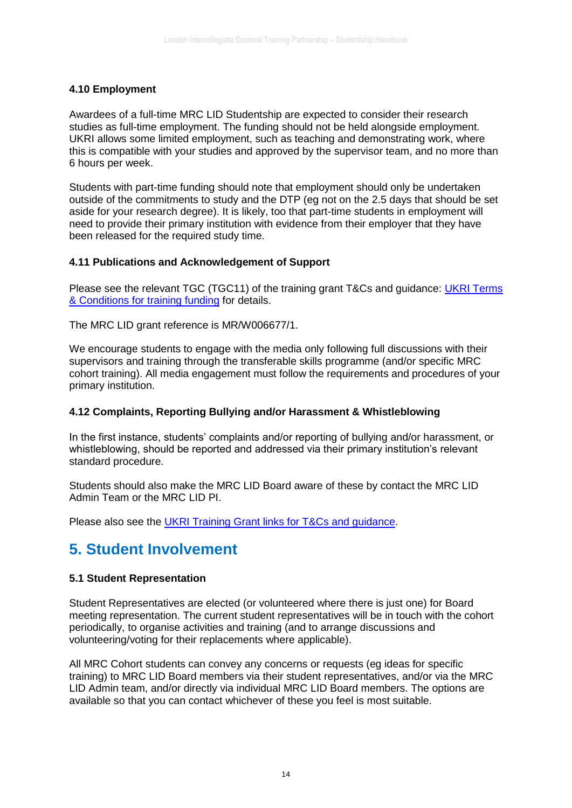## **4.10 Employment**

Awardees of a full-time MRC LID Studentship are expected to consider their research studies as full-time employment. The funding should not be held alongside employment. UKRI allows some limited employment, such as teaching and demonstrating work, where this is compatible with your studies and approved by the supervisor team, and no more than 6 hours per week.

Students with part-time funding should note that employment should only be undertaken outside of the commitments to study and the DTP (eg not on the 2.5 days that should be set aside for your research degree). It is likely, too that part-time students in employment will need to provide their primary institution with evidence from their employer that they have been released for the required study time.

#### **4.11 Publications and Acknowledgement of Support**

Please see the relevant TGC (TGC11) of the training grant T&Cs and guidance: UKRI Terms [& Conditions for training funding](https://www.ukri.org/apply-for-funding/before-you-apply/your-responsibilities-if-you-get-funding/meeting-ukri-terms-and-conditions-for-funding/) for details.

The MRC LID grant reference is MR/W006677/1.

We encourage students to engage with the media only following full discussions with their supervisors and training through the transferable skills programme (and/or specific MRC cohort training). All media engagement must follow the requirements and procedures of your primary institution.

#### **4.12 Complaints, Reporting Bullying and/or Harassment & Whistleblowing**

In the first instance, students' complaints and/or reporting of bullying and/or harassment, or whistleblowing, should be reported and addressed via their primary institution's relevant standard procedure.

Students should also make the MRC LID Board aware of these by contact the MRC LID Admin Team or the MRC LID PI.

Please also see the [UKRI Training Grant links for T&Cs and guidance.](https://www.ukri.org/apply-for-funding/before-you-apply/your-responsibilities-if-you-get-funding/meeting-ukri-terms-and-conditions-for-funding/)

# **5. Student Involvement**

#### **5.1 Student Representation**

Student Representatives are elected (or volunteered where there is just one) for Board meeting representation. The current student representatives will be in touch with the cohort periodically, to organise activities and training (and to arrange discussions and volunteering/voting for their replacements where applicable).

All MRC Cohort students can convey any concerns or requests (eg ideas for specific training) to MRC LID Board members via their student representatives, and/or via the MRC LID Admin team, and/or directly via individual MRC LID Board members. The options are available so that you can contact whichever of these you feel is most suitable.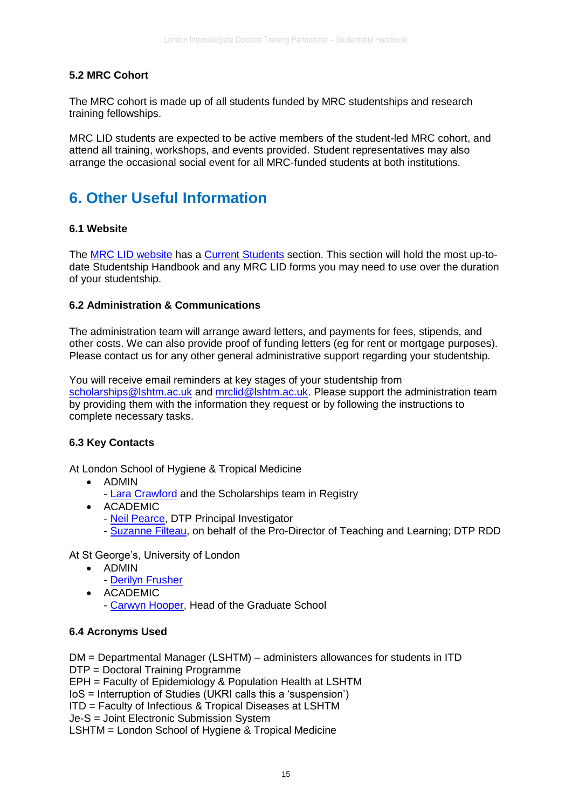# **5.2 MRC Cohort**

The MRC cohort is made up of all students funded by MRC studentships and research training fellowships.

MRC LID students are expected to be active members of the student-led MRC cohort, and attend all training, workshops, and events provided. Student representatives may also arrange the occasional social event for all MRC-funded students at both institutions.

# **6. Other Useful Information**

## **6.1 Website**

The [MRC LID website](http://mrc-lid.lshtm.ac.uk/) has a [Current Students](http://mrc-lid.lshtm.ac.uk/current-students/) section. This section will hold the most up-todate Studentship Handbook and any MRC LID forms you may need to use over the duration of your studentship.

## **6.2 Administration & Communications**

The administration team will arrange award letters, and payments for fees, stipends, and other costs. We can also provide proof of funding letters (eg for rent or mortgage purposes). Please contact us for any other general administrative support regarding your studentship.

You will receive email reminders at key stages of your studentship from [scholarships@lshtm.ac.uk](mailto:scholarships@lshtm.ac.uk) and [mrclid@lshtm.ac.uk.](mailto:mrclid@lshtm.ac.uk) Please support the administration team by providing them with the information they request or by following the instructions to complete necessary tasks.

#### **6.3 Key Contacts**

At London School of Hygiene & Tropical Medicine

- ADMIN
	- [Lara Crawford](mailto:mrclid@lshtm.ac.uk) and the Scholarships team in Registry
- ACADEMIC
	- [Neil Pearce,](mailto:neil.pearce@lshtm.ac.uk) DTP Principal Investigator
	- [Suzanne Filteau,](mailto:suzanne.filteau@lshtm.ac.uk) on behalf of the Pro-Director of Teaching and Learning; DTP RDD

At St George's, University of London

- ADMIN
	- [Derilyn Frusher](mailto:dfrusher@sgul.ac.ukT)
- ACADEMIC
	- [Carwyn Hooper,](mailto:chooper@sgul.ac.uk) Head of the Graduate School

#### **6.4 Acronyms Used**

DM = Departmental Manager (LSHTM) – administers allowances for students in ITD DTP = Doctoral Training Programme

EPH = Faculty of Epidemiology & Population Health at LSHTM

IoS = Interruption of Studies (UKRI calls this a 'suspension')

ITD = Faculty of Infectious & Tropical Diseases at LSHTM

Je-S = Joint Electronic Submission System

LSHTM = London School of Hygiene & Tropical Medicine